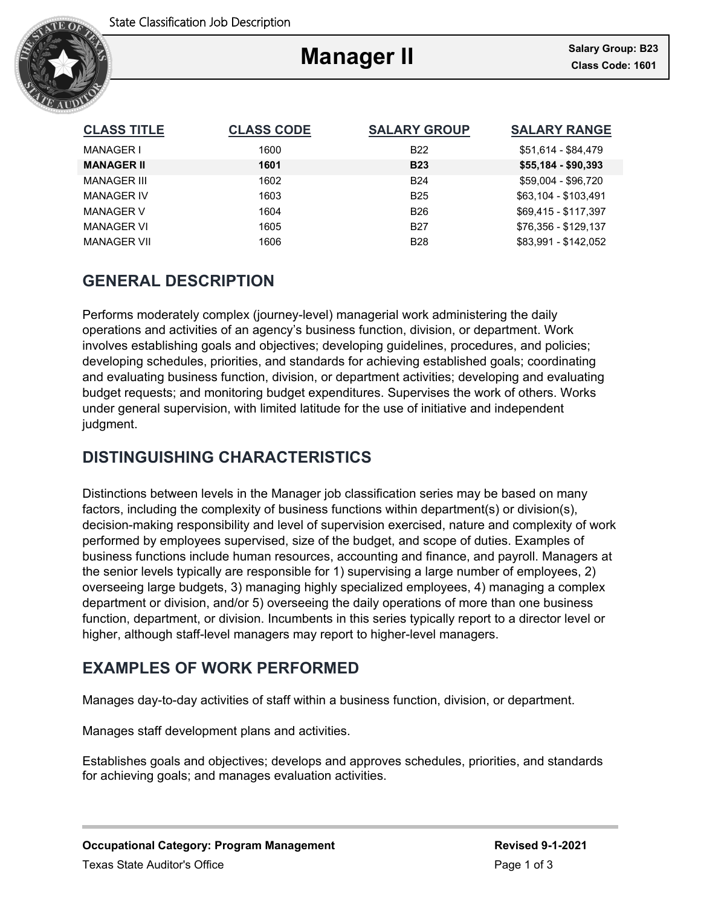

# **Manager II**

Ξ

| <b>CLASS TITLE</b> | <b>CLASS CODE</b> | <b>SALARY GROUP</b> | <b>SALARY RANGE</b>  |
|--------------------|-------------------|---------------------|----------------------|
| MANAGER I          | 1600              | <b>B22</b>          | \$51.614 - \$84.479  |
| <b>MANAGER II</b>  | 1601              | <b>B23</b>          | $$55,184 - $90,393$  |
| <b>MANAGER III</b> | 1602              | <b>B24</b>          | \$59.004 - \$96.720  |
| <b>MANAGER IV</b>  | 1603              | <b>B25</b>          | \$63,104 - \$103,491 |
| <b>MANAGER V</b>   | 1604              | <b>B26</b>          | \$69.415 - \$117.397 |
| <b>MANAGER VI</b>  | 1605              | <b>B27</b>          | \$76.356 - \$129.137 |
| <b>MANAGER VII</b> | 1606              | <b>B28</b>          | \$83,991 - \$142,052 |

# **GENERAL DESCRIPTION**

Performs moderately complex (journey-level) managerial work administering the daily operations and activities of an agency's business function, division, or department. Work involves establishing goals and objectives; developing guidelines, procedures, and policies; developing schedules, priorities, and standards for achieving established goals; coordinating and evaluating business function, division, or department activities; developing and evaluating budget requests; and monitoring budget expenditures. Supervises the work of others. Works under general supervision, with limited latitude for the use of initiative and independent judgment.

# **DISTINGUISHING CHARACTERISTICS**

Distinctions between levels in the Manager job classification series may be based on many factors, including the complexity of business functions within department(s) or division(s), decision-making responsibility and level of supervision exercised, nature and complexity of work performed by employees supervised, size of the budget, and scope of duties. Examples of business functions include human resources, accounting and finance, and payroll. Managers at the senior levels typically are responsible for 1) supervising a large number of employees, 2) overseeing large budgets, 3) managing highly specialized employees, 4) managing a complex department or division, and/or 5) overseeing the daily operations of more than one business function, department, or division. Incumbents in this series typically report to a director level or higher, although staff-level managers may report to higher-level managers.

# **EXAMPLES OF WORK PERFORMED**

Manages day-to-day activities of staff within a business function, division, or department.

Manages staff development plans and activities.

Establishes goals and objectives; develops and approves schedules, priorities, and standards for achieving goals; and manages evaluation activities.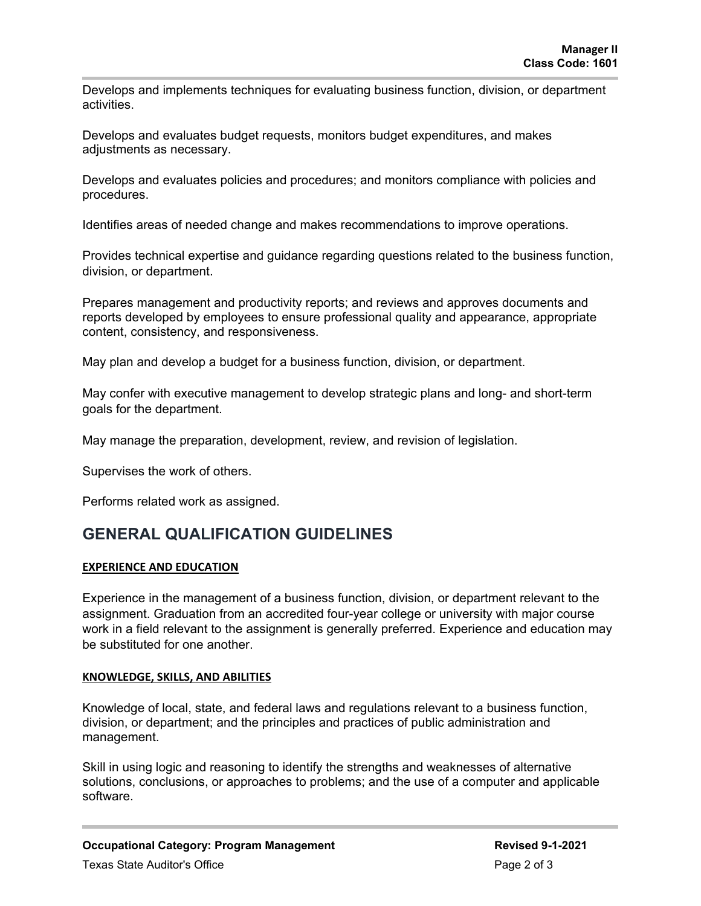Develops and implements techniques for evaluating business function, division, or department activities.

Develops and evaluates budget requests, monitors budget expenditures, and makes adjustments as necessary.

Develops and evaluates policies and procedures; and monitors compliance with policies and procedures.

Identifies areas of needed change and makes recommendations to improve operations.

Provides technical expertise and guidance regarding questions related to the business function, division, or department.

Prepares management and productivity reports; and reviews and approves documents and reports developed by employees to ensure professional quality and appearance, appropriate content, consistency, and responsiveness.

May plan and develop a budget for a business function, division, or department.

May confer with executive management to develop strategic plans and long- and short-term goals for the department.

May manage the preparation, development, review, and revision of legislation.

Supervises the work of others.

Performs related work as assigned.

### **GENERAL QUALIFICATION GUIDELINES**

### **EXPERIENCE AND EDUCATION**

Experience in the management of a business function, division, or department relevant to the assignment. Graduation from an accredited four-year college or university with major course work in a field relevant to the assignment is generally preferred. Experience and education may be substituted for one another.

#### **KNOWLEDGE, SKILLS, AND ABILITIES**

Knowledge of local, state, and federal laws and regulations relevant to a business function, division, or department; and the principles and practices of public administration and management.

Skill in using logic and reasoning to identify the strengths and weaknesses of alternative solutions, conclusions, or approaches to problems; and the use of a computer and applicable software.